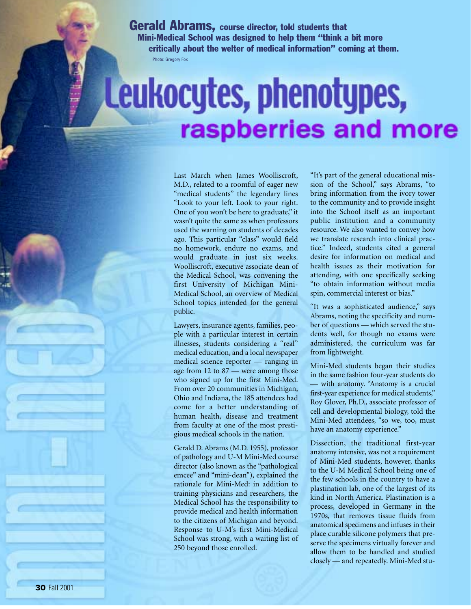Gerald Abrams, course director, told students that Mini-Medical School was designed to help them "think a bit more critically about the welter of medical information" coming at them. Photo: Gregory Fox

## Leukocytes, phenotypes, raspberries and more

Last March when James Woolliscroft, M.D., related to a roomful of eager new "medical students" the legendary lines "Look to your left. Look to your right. One of you won't be here to graduate," it wasn't quite the same as when professors used the warning on students of decades ago. This particular "class" would field no homework, endure no exams, and would graduate in just six weeks. Woolliscroft, executive associate dean of the Medical School, was convening the first University of Michigan Mini-Medical School, an overview of Medical School topics intended for the general public.

Lawyers, insurance agents, families, people with a particular interest in certain illnesses, students considering a "real" medical education, and a local newspaper medical science reporter — ranging in age from 12 to 87 — were among those who signed up for the first Mini-Med. From over 20 communities in Michigan, Ohio and Indiana, the 185 attendees had come for a better understanding of human health, disease and treatment from faculty at one of the most prestigious medical schools in the nation.

Gerald D. Abrams (M.D. 1955), professor of pathology and U-M Mini-Med course director (also known as the "pathological emcee" and "mini-dean"), explained the rationale for Mini-Med: in addition to training physicians and researchers, the Medical School has the responsibility to provide medical and health information to the citizens of Michigan and beyond. Response to U-M's first Mini-Medical School was strong, with a waiting list of 250 beyond those enrolled.

"It's part of the general educational mission of the School," says Abrams, "to bring information from the ivory tower to the community and to provide insight into the School itself as an important public institution and a community resource. We also wanted to convey how we translate research into clinical practice." Indeed, students cited a general desire for information on medical and health issues as their motivation for attending, with one specifically seeking "to obtain information without media spin, commercial interest or bias."

"It was a sophisticated audience," says Abrams, noting the specificity and number of questions — which served the students well, for though no exams were administered, the curriculum was far from lightweight.

Mini-Med students began their studies in the same fashion four-year students do — with anatomy. "Anatomy is a crucial first-year experience for medical students," Roy Glover, Ph.D., associate professor of cell and developmental biology, told the Mini-Med attendees, "so we, too, must have an anatomy experience."

Dissection, the traditional first-year anatomy intensive, was not a requirement of Mini-Med students, however, thanks to the U-M Medical School being one of the few schools in the country to have a plastination lab, one of the largest of its kind in North America. Plastination is a process, developed in Germany in the 1970s, that removes tissue fluids from anatomical specimens and infuses in their place curable silicone polymers that preserve the specimens virtually forever and allow them to be handled and studied closely — and repeatedly. Mini-Med stu